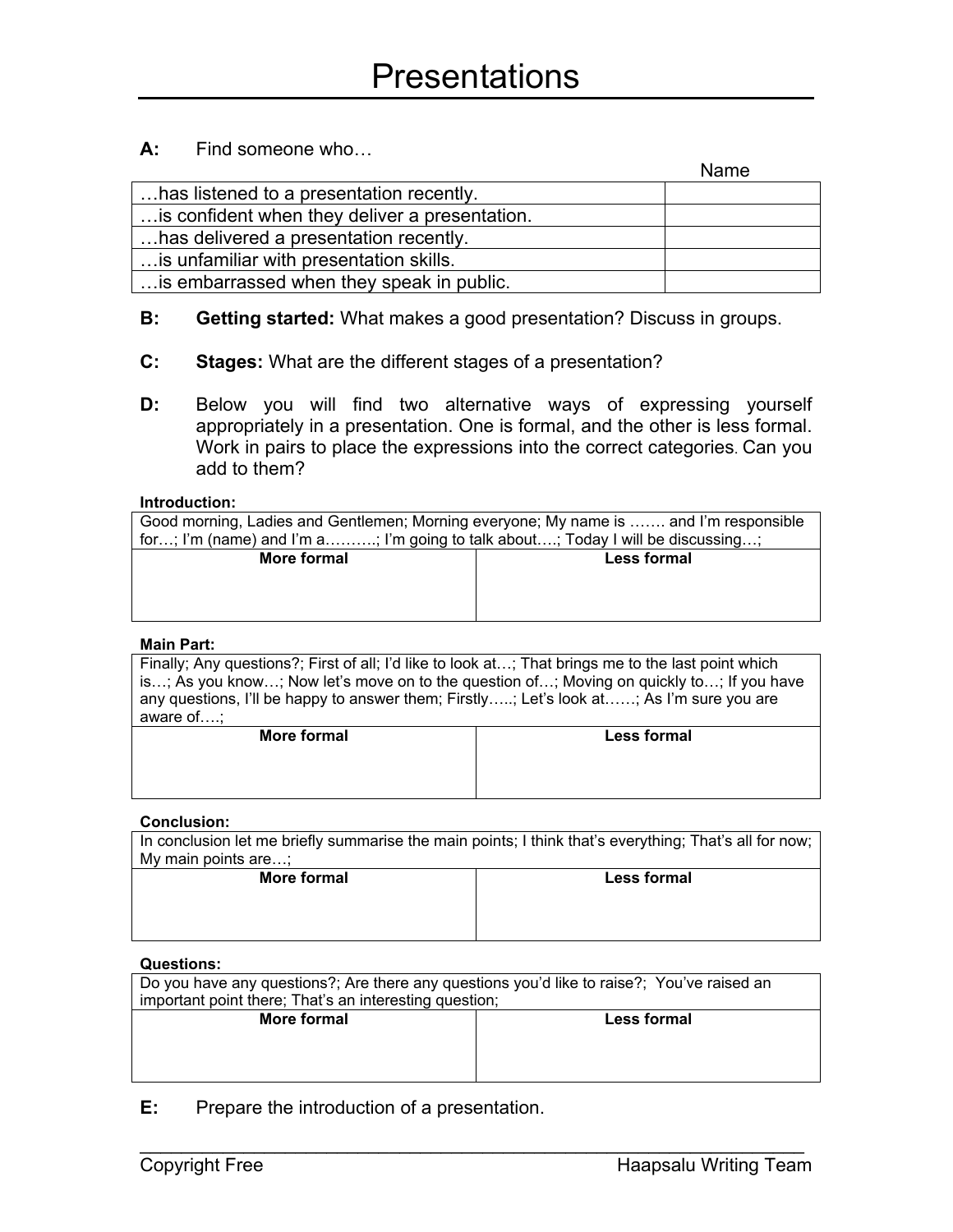## **A:** Find someone who…

|                                                | Name |
|------------------------------------------------|------|
| has listened to a presentation recently.       |      |
| is confident when they deliver a presentation. |      |
| has delivered a presentation recently.         |      |
| is unfamiliar with presentation skills.        |      |
| is embarrassed when they speak in public.      |      |

- **B: Getting started:** What makes a good presentation? Discuss in groups.
- **C: Stages:** What are the different stages of a presentation?
- **D:** Below you will find two alternative ways of expressing yourself appropriately in a presentation. One is formal, and the other is less formal. Work in pairs to place the expressions into the correct categories. Can you add to them?

#### **Introduction:**

| Good morning, Ladies and Gentlemen; Morning everyone; My name is  and I'm responsible |                                                                                                                    |
|---------------------------------------------------------------------------------------|--------------------------------------------------------------------------------------------------------------------|
| for; I'm (name) and I'm a; I'm going to talk about; Today I will be discussing;       |                                                                                                                    |
| $M = 12$ $M = 12$                                                                     | alan kabupatén Indonesia Kabupatén Indonesia Indonesia Indonesia Indonesia Indonesia Indonesia Indonesia Indonesia |

| <b>More formal</b> | <b>Less formal</b> |
|--------------------|--------------------|
|                    |                    |
|                    |                    |

#### **Main Part:**

Finally; Any questions?; First of all; I'd like to look at…; That brings me to the last point which is…; As you know…; Now let's move on to the question of…; Moving on quickly to…; If you have any questions, I'll be happy to answer them; Firstly…..; Let's look at……; As I'm sure you are aware of….;

| <b>More formal</b> | <b>Less formal</b> |
|--------------------|--------------------|
|                    |                    |
|                    |                    |
|                    |                    |

#### **Conclusion:**

In conclusion let me briefly summarise the main points; I think that's everything; That's all for now; My main points are…; **More formal Less formal**

| <b>IVIUITUITUITUIT</b> | <b>LGSS IVIIIIAI</b> |
|------------------------|----------------------|
|                        |                      |
|                        |                      |
|                        |                      |
|                        |                      |
|                        |                      |

### **Questions:**

| Do you have any questions?; Are there any questions you'd like to raise?; You've raised an |                    |  |
|--------------------------------------------------------------------------------------------|--------------------|--|
| important point there; That's an interesting question;                                     |                    |  |
| More formal                                                                                | <b>Less formal</b> |  |
|                                                                                            |                    |  |
|                                                                                            |                    |  |
|                                                                                            |                    |  |

 $\mathcal{L}_\text{max}$  and  $\mathcal{L}_\text{max}$  and  $\mathcal{L}_\text{max}$  and  $\mathcal{L}_\text{max}$  and  $\mathcal{L}_\text{max}$  and  $\mathcal{L}_\text{max}$ 

**E:** Prepare the introduction of a presentation.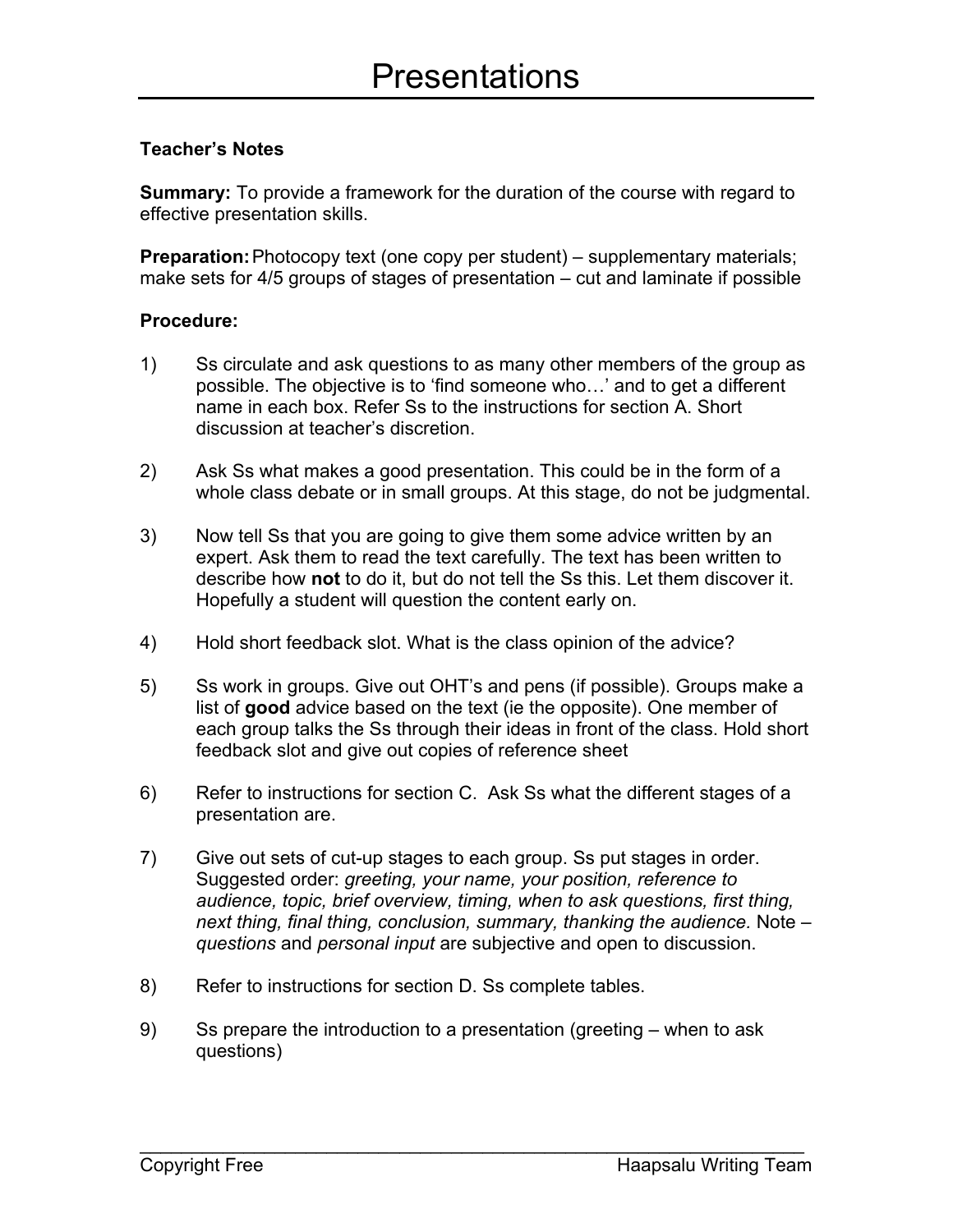## **Teacher's Notes**

**Summary:** To provide a framework for the duration of the course with regard to effective presentation skills.

**Preparation:**Photocopy text (one copy per student) – supplementary materials; make sets for 4/5 groups of stages of presentation – cut and laminate if possible

## **Procedure:**

- 1) Ss circulate and ask questions to as many other members of the group as possible. The objective is to 'find someone who…' and to get a different name in each box. Refer Ss to the instructions for section A. Short discussion at teacher's discretion.
- 2) Ask Ss what makes a good presentation. This could be in the form of a whole class debate or in small groups. At this stage, do not be judgmental.
- 3) Now tell Ss that you are going to give them some advice written by an expert. Ask them to read the text carefully. The text has been written to describe how **not** to do it, but do not tell the Ss this. Let them discover it. Hopefully a student will question the content early on.
- 4) Hold short feedback slot. What is the class opinion of the advice?
- 5) Ss work in groups. Give out OHT's and pens (if possible). Groups make a list of **good** advice based on the text (ie the opposite). One member of each group talks the Ss through their ideas in front of the class. Hold short feedback slot and give out copies of reference sheet
- 6) Refer to instructions for section C. Ask Ss what the different stages of a presentation are.
- 7) Give out sets of cut-up stages to each group. Ss put stages in order. Suggested order: *greeting, your name, your position, reference to audience, topic, brief overview, timing, when to ask questions, first thing, next thing, final thing, conclusion, summary, thanking the audience.* Note – *questions* and *personal input* are subjective and open to discussion.
- 8) Refer to instructions for section D. Ss complete tables.
- 9) Ss prepare the introduction to a presentation (greeting when to ask questions)

 $\mathcal{L}_\text{max}$  and  $\mathcal{L}_\text{max}$  and  $\mathcal{L}_\text{max}$  and  $\mathcal{L}_\text{max}$  and  $\mathcal{L}_\text{max}$  and  $\mathcal{L}_\text{max}$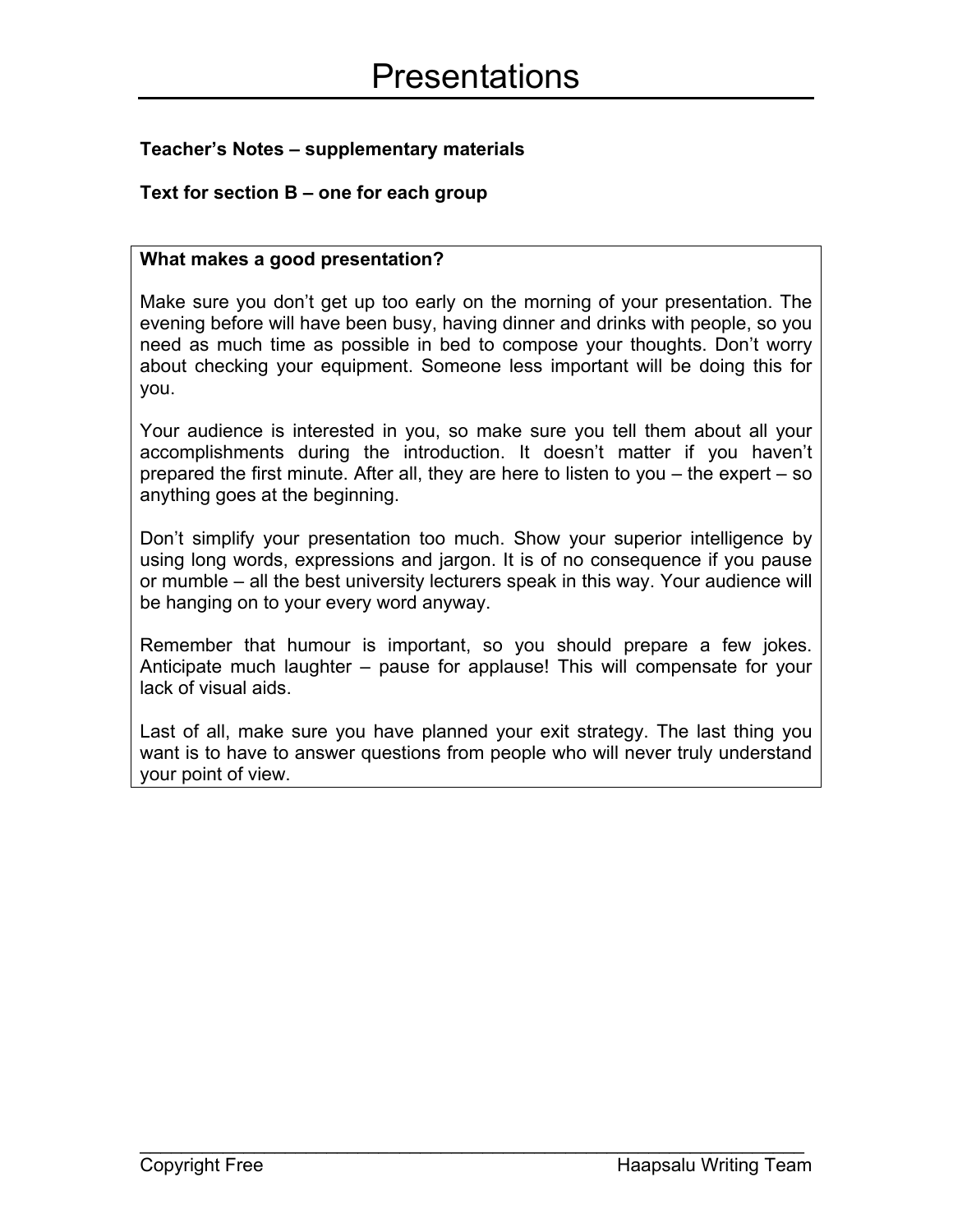# **Teacher's Notes – supplementary materials**

# **Text for section B – one for each group**

## **What makes a good presentation?**

Make sure you don't get up too early on the morning of your presentation. The evening before will have been busy, having dinner and drinks with people, so you need as much time as possible in bed to compose your thoughts. Don't worry about checking your equipment. Someone less important will be doing this for you.

Your audience is interested in you, so make sure you tell them about all your accomplishments during the introduction. It doesn't matter if you haven't prepared the first minute. After all, they are here to listen to you – the expert – so anything goes at the beginning.

Don't simplify your presentation too much. Show your superior intelligence by using long words, expressions and jargon. It is of no consequence if you pause or mumble – all the best university lecturers speak in this way. Your audience will be hanging on to your every word anyway.

Remember that humour is important, so you should prepare a few jokes. Anticipate much laughter – pause for applause! This will compensate for your lack of visual aids.

Last of all, make sure you have planned your exit strategy. The last thing you want is to have to answer questions from people who will never truly understand your point of view.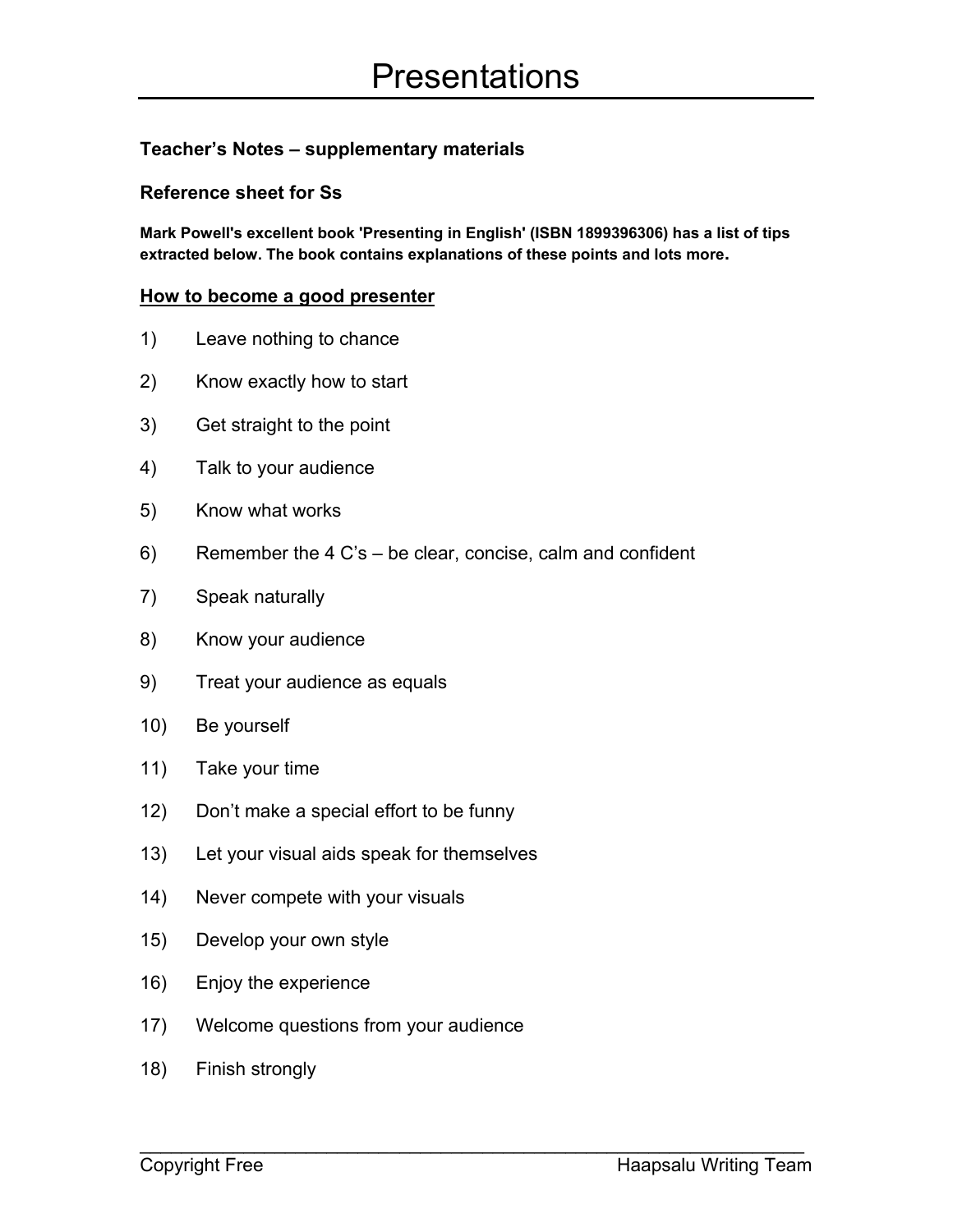# **Teacher's Notes – supplementary materials**

## **Reference sheet for Ss**

**Mark Powell's excellent book 'Presenting in English' (ISBN 1899396306) has a list of tips extracted below. The book contains explanations of these points and lots more.**

### **How to become a good presenter**

- 1) Leave nothing to chance
- 2) Know exactly how to start
- 3) Get straight to the point
- 4) Talk to your audience
- 5) Know what works
- 6) Remember the 4 C's be clear, concise, calm and confident
- 7) Speak naturally
- 8) Know your audience
- 9) Treat your audience as equals
- 10) Be yourself
- 11) Take your time
- 12) Don't make a special effort to be funny
- 13) Let your visual aids speak for themselves
- 14) Never compete with your visuals
- 15) Develop your own style
- 16) Enjoy the experience
- 17) Welcome questions from your audience

 $\mathcal{L}_\text{max}$  and  $\mathcal{L}_\text{max}$  and  $\mathcal{L}_\text{max}$  and  $\mathcal{L}_\text{max}$  and  $\mathcal{L}_\text{max}$  and  $\mathcal{L}_\text{max}$ 

18) Finish strongly